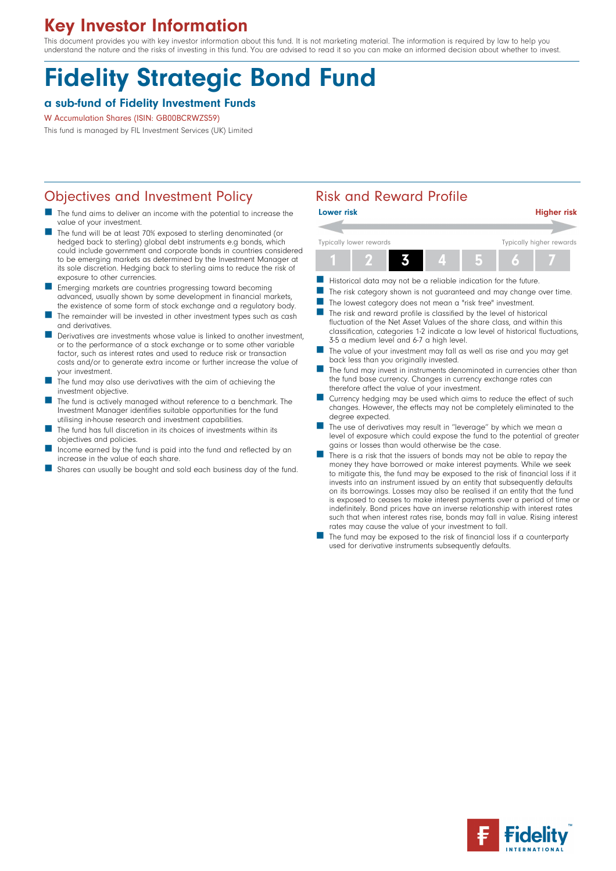# Key Investor Information

This document provides you with key investor information about this fund. It is not marketing material. The information is required by law to help you understand the nature and the risks of investing in this fund. You are advised to read it so you can make an informed decision about whether to invest.

# Fidelity Strategic Bond Fund

## a sub-fund of Fidelity Investment Funds

#### W Accumulation Shares (ISIN: GB00BCRWZS59)

This fund is managed by FIL Investment Services (UK) Limited

# Objectives and Investment Policy **Risk and Reward Profile**

- The fund aims to deliver an income with the potential to increase the value of your investment.
- The fund will be at least 70% exposed to sterling denominated (or hedged back to sterling) global debt instruments e.g bonds, which could include government and corporate bonds in countries considered to be emerging markets as determined by the Investment Manager at its sole discretion. Hedging back to sterling aims to reduce the risk of exposure to other currencies.
- n Emerging markets are countries progressing toward becoming advanced, usually shown by some development in financial markets, the existence of some form of stock exchange and a regulatory body.
- The remainder will be invested in other investment types such as cash and derivatives.
- Derivatives are investments whose value is linked to another investment, or to the performance of a stock exchange or to some other variable factor, such as interest rates and used to reduce risk or transaction costs and/or to generate extra income or further increase the value of your investment.
- The fund may also use derivatives with the aim of achieving the investment objective.
- The fund is actively managed without reference to a benchmark. The Investment Manager identifies suitable opportunities for the fund utilising in-house research and investment capabilities.
- The fund has full discretion in its choices of investments within its objectives and policies.
- Income earned by the fund is paid into the fund and reflected by an increase in the value of each share.
- Shares can usually be bought and sold each business day of the fund.

| <b>Lower risk</b>       | <b>Higher risk</b>       |
|-------------------------|--------------------------|
|                         |                          |
| Typically lower rewards | Typically higher rewards |
|                         |                          |

- Historical data may not be a reliable indication for the future.
- The risk category shown is not guaranteed and may change over time.
- The lowest category does not mean a "risk free" investment.
- $\blacksquare$  The risk and reward profile is classified by the level of historical fluctuation of the Net Asset Values of the share class, and within this classification, categories 1-2 indicate a low level of historical fluctuations, 3-5 a medium level and 6-7 a high level.
- The value of your investment may fall as well as rise and you may get back less than you originally invested.
- The fund may invest in instruments denominated in currencies other than the fund base currency. Changes in currency exchange rates can therefore affect the value of your investment.
- Currency hedging may be used which aims to reduce the effect of such changes. However, the effects may not be completely eliminated to the degree expected.
- The use of derivatives may result in "leverage" by which we mean a level of exposure which could expose the fund to the potential of greater gains or losses than would otherwise be the case.
- There is a risk that the issuers of bonds may not be able to repay the money they have borrowed or make interest payments. While we seek to mitigate this, the fund may be exposed to the risk of financial loss if it invests into an instrument issued by an entity that subsequently defaults on its borrowings. Losses may also be realised if an entity that the fund is exposed to ceases to make interest payments over a period of time or indefinitely. Bond prices have an inverse relationship with interest rates such that when interest rates rise, bonds may fall in value. Rising interest rates may cause the value of your investment to fall.
- The fund may be exposed to the risk of financial loss if a counterparty used for derivative instruments subsequently defaults.